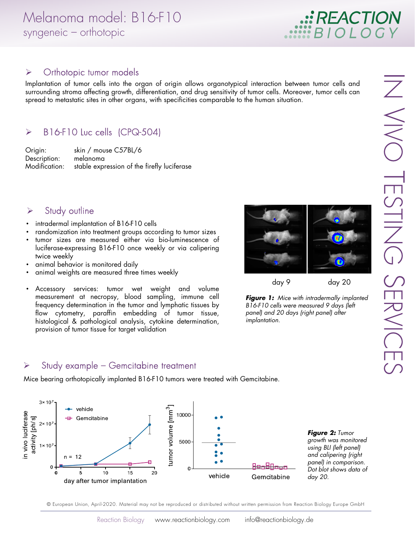

#### $\triangleright$  Orthotopic tumor models

Implantation of tumor cells into the organ of origin allows organotypical interaction between tumor cells and surrounding stroma affecting growth, differentiation, and drug sensitivity of tumor cells. Moreover, tumor cells can spread to metastatic sites in other organs, with specificities comparable to the human situation.

# > B16-F10 Luc cells (CPQ-504)

Origin: skin / mouse C57BL/6 Description: melanoma Modification: stable expression of the firefly luciferase

### $\triangleright$  Study outline

- intradermal implantation of B16-F10 cells
- randomization into treatment groups according to tumor sizes
- tumor sizes are measured either via bio-luminescence of luciferase-expressing B16-F10 once weekly or via calipering twice weekly
- animal behavior is monitored daily
- animal weights are measured three times weekly
- Accessory services: tumor wet weight and volume measurement at necropsy, blood sampling, immune cell frequency determination in the tumor and lymphatic tissues by flow cytometry, paraffin embedding of tumor tissue, histological & pathological analysis, cytokine determination, provision of tumor tissue for target validation



*Figure 1:* Mice with intradermally implanted B16-F10 cells were measured 9 days (left panel) and 20 days (right panel) after implantation.

#### $\triangleright$  Study example – Gemcitabine treatment

Mice bearing orthotopically implanted B16-F10 tumors were treated with Gemcitabine.



*Figure 2:* Tumor growth was monitored using BLI (left panel) and calipering (right panel) in comparison. Dot blot shows data of day 20.

© European Union, April-2020. Material may not be reproduced or distributed without written permission from Reaction Biology Europe GmbH